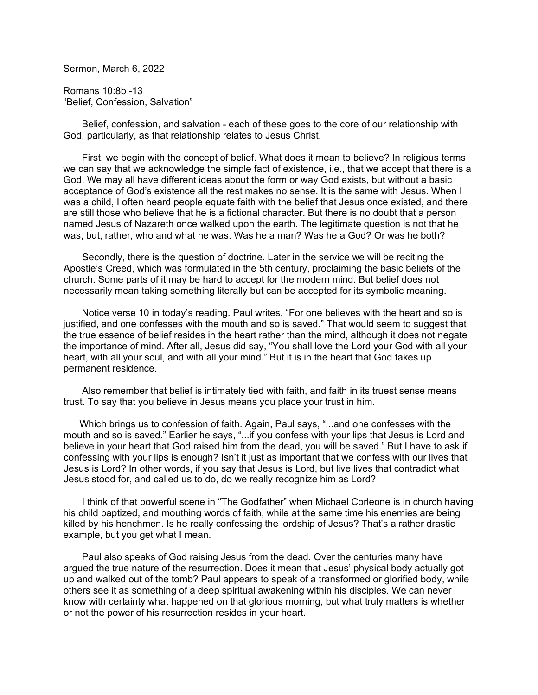Sermon, March 6, 2022

Romans 10:8b -13 "Belief, Confession, Salvation"

 Belief, confession, and salvation - each of these goes to the core of our relationship with God, particularly, as that relationship relates to Jesus Christ.

 First, we begin with the concept of belief. What does it mean to believe? In religious terms we can say that we acknowledge the simple fact of existence, i.e., that we accept that there is a God. We may all have different ideas about the form or way God exists, but without a basic acceptance of God's existence all the rest makes no sense. It is the same with Jesus. When I was a child, I often heard people equate faith with the belief that Jesus once existed, and there are still those who believe that he is a fictional character. But there is no doubt that a person named Jesus of Nazareth once walked upon the earth. The legitimate question is not that he was, but, rather, who and what he was. Was he a man? Was he a God? Or was he both?

 Secondly, there is the question of doctrine. Later in the service we will be reciting the Apostle's Creed, which was formulated in the 5th century, proclaiming the basic beliefs of the church. Some parts of it may be hard to accept for the modern mind. But belief does not necessarily mean taking something literally but can be accepted for its symbolic meaning.

 Notice verse 10 in today's reading. Paul writes, "For one believes with the heart and so is justified, and one confesses with the mouth and so is saved." That would seem to suggest that the true essence of belief resides in the heart rather than the mind, although it does not negate the importance of mind. After all, Jesus did say, "You shall love the Lord your God with all your heart, with all your soul, and with all your mind." But it is in the heart that God takes up permanent residence.

 Also remember that belief is intimately tied with faith, and faith in its truest sense means trust. To say that you believe in Jesus means you place your trust in him.

 Which brings us to confession of faith. Again, Paul says, "...and one confesses with the mouth and so is saved." Earlier he says, "...if you confess with your lips that Jesus is Lord and believe in your heart that God raised him from the dead, you will be saved." But I have to ask if confessing with your lips is enough? Isn't it just as important that we confess with our lives that Jesus is Lord? In other words, if you say that Jesus is Lord, but live lives that contradict what Jesus stood for, and called us to do, do we really recognize him as Lord?

 I think of that powerful scene in "The Godfather" when Michael Corleone is in church having his child baptized, and mouthing words of faith, while at the same time his enemies are being killed by his henchmen. Is he really confessing the lordship of Jesus? That's a rather drastic example, but you get what I mean.

 Paul also speaks of God raising Jesus from the dead. Over the centuries many have argued the true nature of the resurrection. Does it mean that Jesus' physical body actually got up and walked out of the tomb? Paul appears to speak of a transformed or glorified body, while others see it as something of a deep spiritual awakening within his disciples. We can never know with certainty what happened on that glorious morning, but what truly matters is whether or not the power of his resurrection resides in your heart.